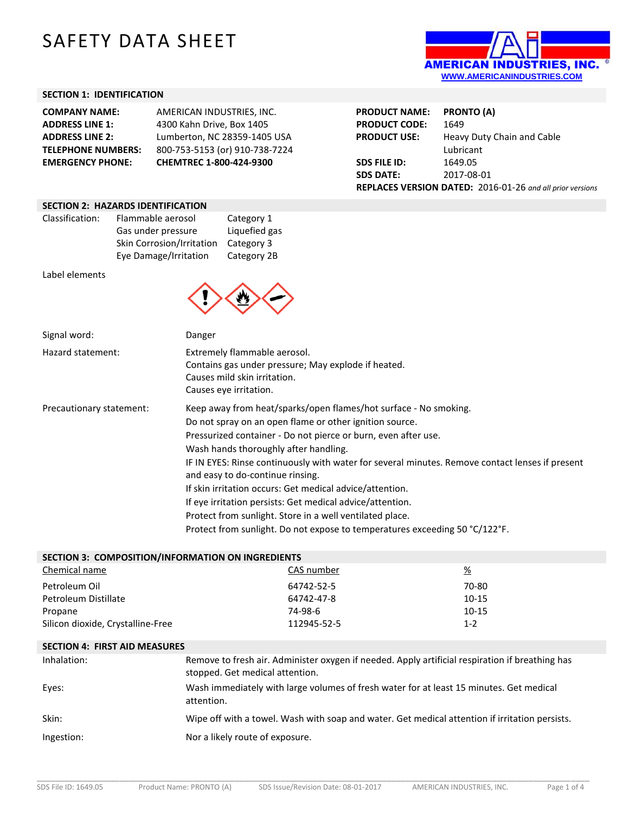# SAFETY DATA SHEET



# **SECTION 1: IDENTIFICATION**

| <b>COMPANY NAME:</b>      | AMERICAN INDUSTRIES. INC.      |
|---------------------------|--------------------------------|
| <b>ADDRESS LINE 1:</b>    | 4300 Kahn Drive, Box 1405      |
| <b>ADDRESS LINE 2:</b>    | Lumberton, NC 28359-1405 USA   |
| <b>TELEPHONE NUMBERS:</b> | 800-753-5153 (or) 910-738-7224 |
| <b>EMERGENCY PHONE:</b>   | CHEMTREC 1-800-424-9300        |
|                           |                                |

| <b>PRODUCT NAME:</b>                                      | <b>PRONTO (A)</b>          |
|-----------------------------------------------------------|----------------------------|
| <b>PRODUCT CODE:</b>                                      | 1649                       |
| <b>PRODUCT USE:</b>                                       | Heavy Duty Chain and Cable |
|                                                           | Lubricant                  |
| <b>SDS FILE ID:</b>                                       | 1649.05                    |
| <b>SDS DATE:</b>                                          | 2017-08-01                 |
| REPLACES VERSION DATED: 2016-01-26 and all prior versions |                            |

### **SECTION 2: HAZARDS IDENTIFICATION**

| Classification: | Flammable aerosol         | Category 1    |
|-----------------|---------------------------|---------------|
|                 | Gas under pressure        | Liquefied gas |
|                 | Skin Corrosion/Irritation | Category 3    |
|                 | Eye Damage/Irritation     | Category 2B   |

Label elements



| Signal word:             | Danger                                                                                                                                                                                                                                                                                                                                                                                                                                                                                                                                                                                                                                            |
|--------------------------|---------------------------------------------------------------------------------------------------------------------------------------------------------------------------------------------------------------------------------------------------------------------------------------------------------------------------------------------------------------------------------------------------------------------------------------------------------------------------------------------------------------------------------------------------------------------------------------------------------------------------------------------------|
| Hazard statement:        | Extremely flammable aerosol.<br>Contains gas under pressure; May explode if heated.<br>Causes mild skin irritation.<br>Causes eye irritation.                                                                                                                                                                                                                                                                                                                                                                                                                                                                                                     |
| Precautionary statement: | Keep away from heat/sparks/open flames/hot surface - No smoking.<br>Do not spray on an open flame or other ignition source.<br>Pressurized container - Do not pierce or burn, even after use.<br>Wash hands thoroughly after handling.<br>IF IN EYES: Rinse continuously with water for several minutes. Remove contact lenses if present<br>and easy to do-continue rinsing.<br>If skin irritation occurs: Get medical advice/attention.<br>If eye irritation persists: Get medical advice/attention.<br>Protect from sunlight. Store in a well ventilated place.<br>Protect from sunlight. Do not expose to temperatures exceeding 50 °C/122°F. |

| SECTION 3: COMPOSITION/INFORMATION ON INGREDIENTS |             |           |  |
|---------------------------------------------------|-------------|-----------|--|
| Chemical name                                     | CAS number  | <u>%</u>  |  |
| Petroleum Oil                                     | 64742-52-5  | 70-80     |  |
| Petroleum Distillate                              | 64742-47-8  | $10 - 15$ |  |
| Propane                                           | 74-98-6     | $10 - 15$ |  |
| Silicon dioxide, Crystalline-Free                 | 112945-52-5 | $1-2$     |  |

#### **SECTION 4: FIRST AID MEASURES**

| Inhalation: | Remove to fresh air. Administer oxygen if needed. Apply artificial respiration if breathing has<br>stopped. Get medical attention. |
|-------------|------------------------------------------------------------------------------------------------------------------------------------|
| Eyes:       | Wash immediately with large volumes of fresh water for at least 15 minutes. Get medical<br>attention.                              |
| Skin:       | Wipe off with a towel. Wash with soap and water. Get medical attention if irritation persists.                                     |
| Ingestion:  | Nor a likely route of exposure.                                                                                                    |

\_\_\_\_\_\_\_\_\_\_\_\_\_\_\_\_\_\_\_\_\_\_\_\_\_\_\_\_\_\_\_\_\_\_\_\_\_\_\_\_\_\_\_\_\_\_\_\_\_\_\_\_\_\_\_\_\_\_\_\_\_\_\_\_\_\_\_\_\_\_\_\_\_\_\_\_\_\_\_\_\_\_\_\_\_\_\_\_\_\_\_\_\_\_\_\_\_\_\_\_\_\_\_\_\_\_\_\_\_\_\_\_\_\_\_\_\_\_\_\_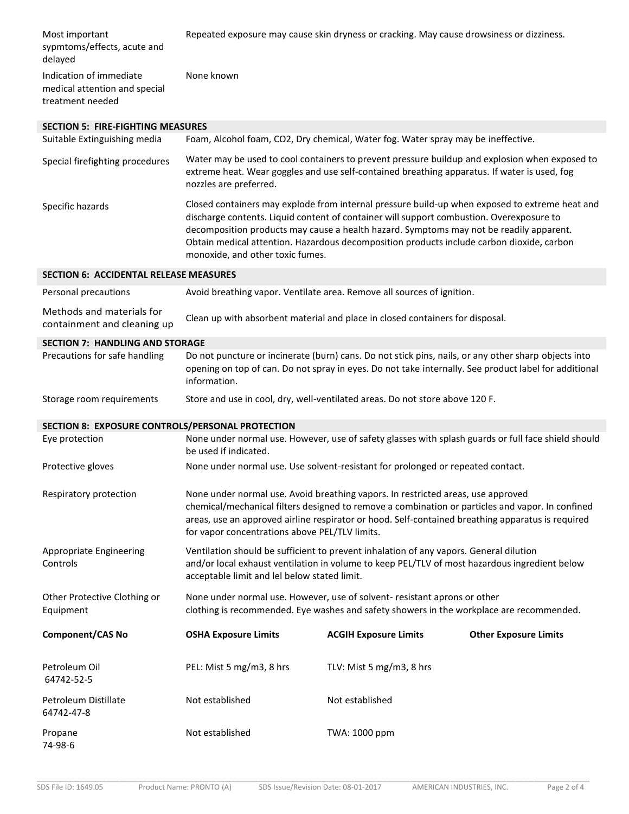| Most important<br>sypmtoms/effects, acute and<br>delayed                     |                                                | Repeated exposure may cause skin dryness or cracking. May cause drowsiness or dizziness.                                                                                                                                                                                                                                                                                           |                              |
|------------------------------------------------------------------------------|------------------------------------------------|------------------------------------------------------------------------------------------------------------------------------------------------------------------------------------------------------------------------------------------------------------------------------------------------------------------------------------------------------------------------------------|------------------------------|
| Indication of immediate<br>medical attention and special<br>treatment needed | None known                                     |                                                                                                                                                                                                                                                                                                                                                                                    |                              |
| <b>SECTION 5: FIRE-FIGHTING MEASURES</b>                                     |                                                |                                                                                                                                                                                                                                                                                                                                                                                    |                              |
| Suitable Extinguishing media                                                 |                                                | Foam, Alcohol foam, CO2, Dry chemical, Water fog. Water spray may be ineffective.                                                                                                                                                                                                                                                                                                  |                              |
| Special firefighting procedures                                              | nozzles are preferred.                         | Water may be used to cool containers to prevent pressure buildup and explosion when exposed to<br>extreme heat. Wear goggles and use self-contained breathing apparatus. If water is used, fog                                                                                                                                                                                     |                              |
| Specific hazards                                                             | monoxide, and other toxic fumes.               | Closed containers may explode from internal pressure build-up when exposed to extreme heat and<br>discharge contents. Liquid content of container will support combustion. Overexposure to<br>decomposition products may cause a health hazard. Symptoms may not be readily apparent.<br>Obtain medical attention. Hazardous decomposition products include carbon dioxide, carbon |                              |
| <b>SECTION 6: ACCIDENTAL RELEASE MEASURES</b>                                |                                                |                                                                                                                                                                                                                                                                                                                                                                                    |                              |
| Personal precautions                                                         |                                                | Avoid breathing vapor. Ventilate area. Remove all sources of ignition.                                                                                                                                                                                                                                                                                                             |                              |
| Methods and materials for<br>containment and cleaning up                     |                                                | Clean up with absorbent material and place in closed containers for disposal.                                                                                                                                                                                                                                                                                                      |                              |
| <b>SECTION 7: HANDLING AND STORAGE</b>                                       |                                                |                                                                                                                                                                                                                                                                                                                                                                                    |                              |
| Precautions for safe handling                                                | information.                                   | Do not puncture or incinerate (burn) cans. Do not stick pins, nails, or any other sharp objects into<br>opening on top of can. Do not spray in eyes. Do not take internally. See product label for additional                                                                                                                                                                      |                              |
|                                                                              |                                                |                                                                                                                                                                                                                                                                                                                                                                                    |                              |
| Storage room requirements                                                    |                                                | Store and use in cool, dry, well-ventilated areas. Do not store above 120 F.                                                                                                                                                                                                                                                                                                       |                              |
| SECTION 8: EXPOSURE CONTROLS/PERSONAL PROTECTION                             |                                                |                                                                                                                                                                                                                                                                                                                                                                                    |                              |
| Eye protection                                                               | be used if indicated.                          | None under normal use. However, use of safety glasses with splash guards or full face shield should                                                                                                                                                                                                                                                                                |                              |
| Protective gloves                                                            |                                                | None under normal use. Use solvent-resistant for prolonged or repeated contact.                                                                                                                                                                                                                                                                                                    |                              |
| Respiratory protection                                                       | for vapor concentrations above PEL/TLV limits. | None under normal use. Avoid breathing vapors. In restricted areas, use approved<br>chemical/mechanical filters designed to remove a combination or particles and vapor. In confined<br>areas, use an approved airline respirator or hood. Self-contained breathing apparatus is required                                                                                          |                              |
| Appropriate Engineering<br>Controls                                          | acceptable limit and lel below stated limit.   | Ventilation should be sufficient to prevent inhalation of any vapors. General dilution<br>and/or local exhaust ventilation in volume to keep PEL/TLV of most hazardous ingredient below                                                                                                                                                                                            |                              |
| Other Protective Clothing or<br>Equipment                                    |                                                | None under normal use. However, use of solvent-resistant aprons or other<br>clothing is recommended. Eye washes and safety showers in the workplace are recommended.                                                                                                                                                                                                               |                              |
| <b>Component/CAS No</b>                                                      | <b>OSHA Exposure Limits</b>                    | <b>ACGIH Exposure Limits</b>                                                                                                                                                                                                                                                                                                                                                       | <b>Other Exposure Limits</b> |
| Petroleum Oil<br>64742-52-5                                                  | PEL: Mist 5 mg/m3, 8 hrs                       | TLV: Mist 5 mg/m3, 8 hrs                                                                                                                                                                                                                                                                                                                                                           |                              |
| Petroleum Distillate<br>64742-47-8                                           | Not established                                | Not established                                                                                                                                                                                                                                                                                                                                                                    |                              |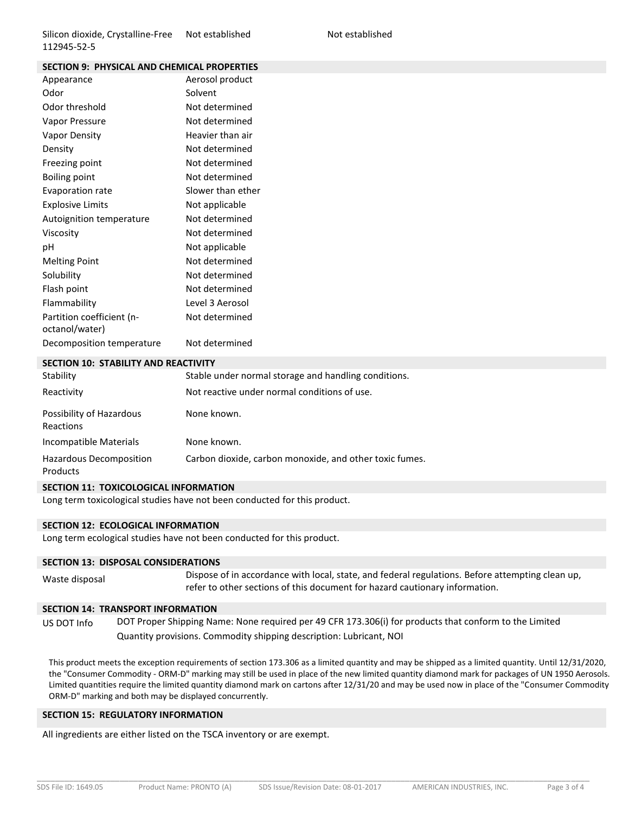| エエムコサコニコムニコ                                        |                   |
|----------------------------------------------------|-------------------|
| <b>SECTION 9: PHYSICAL AND CHEMICAL PROPERTIES</b> |                   |
| Appearance                                         | Aerosol product   |
| Odor                                               | Solvent           |
| Odor threshold                                     | Not determined    |
| Vapor Pressure                                     | Not determined    |
| Vapor Density                                      | Heavier than air  |
| Density                                            | Not determined    |
| Freezing point                                     | Not determined    |
| <b>Boiling point</b>                               | Not determined    |
| Evaporation rate                                   | Slower than ether |
| <b>Explosive Limits</b>                            | Not applicable    |
| Autoignition temperature                           | Not determined    |
| Viscosity                                          | Not determined    |
| pH                                                 | Not applicable    |
| <b>Melting Point</b>                               | Not determined    |
| Solubility                                         | Not determined    |
| Flash point                                        | Not determined    |
| Flammability                                       | Level 3 Aerosol   |
| Partition coefficient (n-                          | Not determined    |
| octanol/water)                                     |                   |
| Decomposition temperature                          | Not determined    |

#### **SECTION 10: STABILITY AND REACTIVITY**

| Stability                             | Stable under normal storage and handling conditions.    |
|---------------------------------------|---------------------------------------------------------|
| Reactivity                            | Not reactive under normal conditions of use.            |
| Possibility of Hazardous<br>Reactions | None known.                                             |
| Incompatible Materials                | None known.                                             |
| Hazardous Decomposition<br>Products   | Carbon dioxide, carbon monoxide, and other toxic fumes. |

### **SECTION 11: TOXICOLOGICAL INFORMATION**

Long term toxicological studies have not been conducted for this product.

#### **SECTION 12: ECOLOGICAL INFORMATION**

Long term ecological studies have not been conducted for this product.

## **SECTION 13: DISPOSAL CONSIDERATIONS**

Waste disposal Dispose of in accordance with local, state, and federal regulations. Before attempting clean up, refer to other sections of this document for hazard cautionary information.

## **SECTION 14: TRANSPORT INFORMATION**

US DOT Info DOT Proper Shipping Name: None required per 49 CFR 173.306(i) for products that conform to the Limited Quantity provisions. Commodity shipping description: Lubricant, NOI

This product meets the exception requirements of section 173.306 as a limited quantity and may be shipped as a limited quantity. Until 12/31/2020, the "Consumer Commodity - ORM-D" marking may still be used in place of the new limited quantity diamond mark for packages of UN 1950 Aerosols. Limited quantities require the limited quantity diamond mark on cartons after 12/31/20 and may be used now in place of the "Consumer Commodity ORM-D" marking and both may be displayed concurrently.

#### **SECTION 15: REGULATORY INFORMATION**

All ingredients are either listed on the TSCA inventory or are exempt.